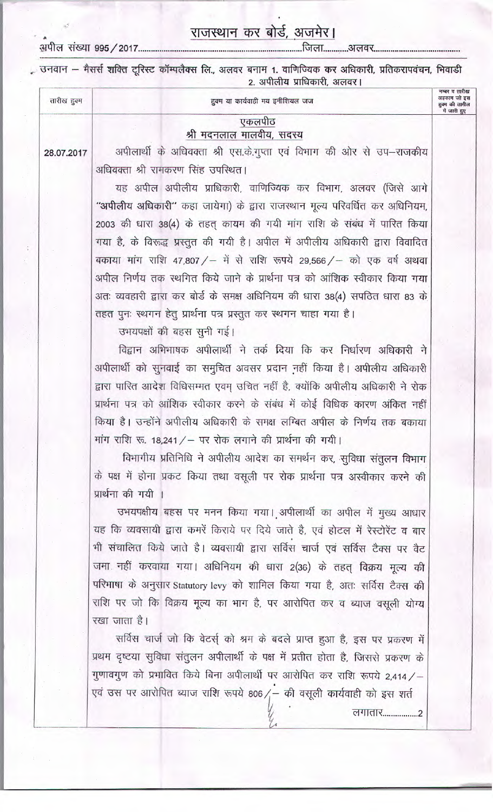## राजस्थान कर बोर्ड, अजमेर।

्र उनवान – मैसर्स शक्ति टूरिस्ट कॉम्पलैक्स लि., अलवर बनाम 1. वाणिज्यिक कर अधिकारी, प्रतिकरापवंचन, भिवाडी ( )<br>2. अपीलीय प्राधिकारी, अलवर |

| तारीख हुक्म | हुक्म या कार्यवाही मय इनीशियल जज                                                  | नम्बर व तारीख<br>अहकाम जो इस<br>हुक्म की तामील<br>में जारी हुए |
|-------------|-----------------------------------------------------------------------------------|----------------------------------------------------------------|
|             | एकलपीठ                                                                            |                                                                |
|             | श्री मदनलाल मालवीय, सदस्य                                                         |                                                                |
| 28.07.2017  | अपीलार्थी के अधिवक्ता श्री एस.के.गुप्ता एवं विभाग की ओर से उप–राजकीय              |                                                                |
|             | अधिवक्ता श्री रामकरण सिंह उपरिथत।                                                 |                                                                |
|             | यह अपील अपीलीय प्राधिकारी, वाणिज्यिक कर विभाग, अलवर (जिसे आगे                     |                                                                |
|             | "अपीलीय अधिकारी" कहा जायेगा) के द्वारा राजस्थान मूल्य परिवर्धित कर अधिनियम,       |                                                                |
|             | 2003 की धारा 38(4) के तहत् कायम की गयी मांग राशि के संबंध में पारित किया          |                                                                |
|             | गया है, के विरूद्ध प्रस्तुत की गयी है। अपील में अपीलीय अधिकारी द्वारा विवादित     |                                                                |
|             | बकाया मांग राशि 47,807 / – में से राशि रूपये 29,566 / – को एक वर्ष अथवा           |                                                                |
|             | अपील निर्णय तक स्थगित किये जाने के प्रार्थना पत्र को आंशिक स्वीकार किया गया       |                                                                |
|             | अतः व्यवहारी द्वारा कर बोर्ड के समक्ष अधिनियम की धारा 38(4) सपठित धारा 83 के      |                                                                |
|             | तहत पुनः स्थगन हेतु प्रार्थना पत्र प्रस्तुत कर स्थगन चाहा गया है।                 |                                                                |
|             | उभयपक्षों की बहस सुनी गई।                                                         |                                                                |
|             | विद्वान अभिभाषक अपीलार्थी ने तर्क दिया कि कर निर्धारण अधिकारी ने                  |                                                                |
|             | अपीलार्थी को सुनवाई का समुचित अवसर प्रदान नहीं किया है। अपीलीय अधिकारी            |                                                                |
|             | द्वारा पारित आदेश विधिसम्मत एवम् उचित नहीं है, क्योंकि अपीलीय अधिकारी ने रोक      |                                                                |
|             | प्रार्थना पत्र को आंशिक स्वीकार करने के संबंध में कोई विधिक कारण अंकित नहीं       |                                                                |
|             | किया है। उन्होंने अपीलीय अधिकारी के समक्ष लम्बित अपील के निर्णय तक बकाया          |                                                                |
|             | मांग राशि रू. 18,241 / - पर रोक लगाने की प्रार्थना की गयी।                        |                                                                |
|             | विभागीय प्रतिनिधि ने अपीलीय आदेश का समर्थन कर, सुविधा संतुलन विभाग                |                                                                |
|             | के पक्ष में होना प्रकट किया तथा वसूली पर रोक प्रार्थना पत्र अस्वीकार करने की      |                                                                |
|             | प्रार्थना की गयी                                                                  |                                                                |
|             | उभयपक्षीय बहस पर मनन किया गया। अपीलार्थी का अपील में मुख्य आधार                   |                                                                |
|             | यह कि व्यवसायी द्वारा कमरें किराये पर दिये जाते है, एवं होटल में रेस्टोरेंट व बार |                                                                |
|             | भी संचालित किये जाते है। व्यवसायी द्वारा सर्विस चार्ज एवं सर्विस टैक्स पर वैट     |                                                                |
|             | जमा नहीं करवाया गया। अधिनियम की धारा 2(36) के तहत् विक्रय मूल्य की                |                                                                |
|             | परिभाषा के अनुसार Statutory levy को शामिल किया गया है, अतः सर्विस टैक्स की        |                                                                |
|             | राशि पर जो कि विक्रय मूल्य का भाग है, पर आरोपित कर व ब्याज वसूली योग्य            |                                                                |
|             | रखा जाता है।                                                                      |                                                                |
|             | सर्विस चार्ज जो कि वेटर्स् को श्रम के बदले प्राप्त हुआ है, इस पर प्रकरण में       |                                                                |
|             | प्रथम दृष्टया सुविधा संतुलन अपीलार्थी के पक्ष में प्रतीत होता है, जिससे प्रकरण के |                                                                |
|             | गुणावगुण को प्रभावित किये बिना अपीलार्थी पर आरोपित कर राशि रूपये 2,414 / -        |                                                                |
|             | एवं उस पर आरोपित ब्याज राशि रूपये 806 / - की वसूली कार्यवाही को इस शर्त           |                                                                |
|             | लगातार2                                                                           |                                                                |
|             |                                                                                   |                                                                |